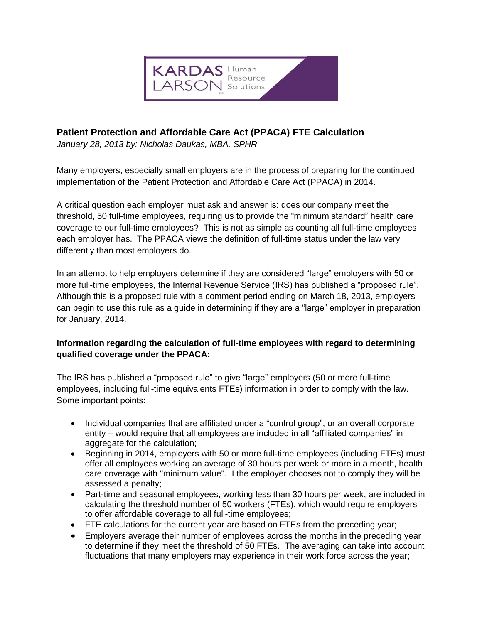

## **Patient Protection and Affordable Care Act (PPACA) FTE Calculation**

*January 28, 2013 by: Nicholas Daukas, MBA, SPHR*

Many employers, especially small employers are in the process of preparing for the continued implementation of the Patient Protection and Affordable Care Act (PPACA) in 2014.

A critical question each employer must ask and answer is: does our company meet the threshold, 50 full-time employees, requiring us to provide the "minimum standard" health care coverage to our full-time employees? This is not as simple as counting all full-time employees each employer has. The PPACA views the definition of full-time status under the law very differently than most employers do.

In an attempt to help employers determine if they are considered "large" employers with 50 or more full-time employees, the Internal Revenue Service (IRS) has published a "proposed rule". Although this is a proposed rule with a comment period ending on March 18, 2013, employers can begin to use this rule as a guide in determining if they are a "large" employer in preparation for January, 2014.

## **Information regarding the calculation of full-time employees with regard to determining qualified coverage under the PPACA:**

The IRS has published a "proposed rule" to give "large" employers (50 or more full-time employees, including full-time equivalents FTEs) information in order to comply with the law. Some important points:

- Individual companies that are affiliated under a "control group", or an overall corporate entity – would require that all employees are included in all "affiliated companies" in aggregate for the calculation;
- Beginning in 2014, employers with 50 or more full-time employees (including FTEs) must offer all employees working an average of 30 hours per week or more in a month, health care coverage with "minimum value". I the employer chooses not to comply they will be assessed a penalty;
- Part-time and seasonal employees, working less than 30 hours per week, are included in calculating the threshold number of 50 workers (FTEs), which would require employers to offer affordable coverage to all full-time employees;
- FTE calculations for the current year are based on FTEs from the preceding year;
- Employers average their number of employees across the months in the preceding year to determine if they meet the threshold of 50 FTEs. The averaging can take into account fluctuations that many employers may experience in their work force across the year;